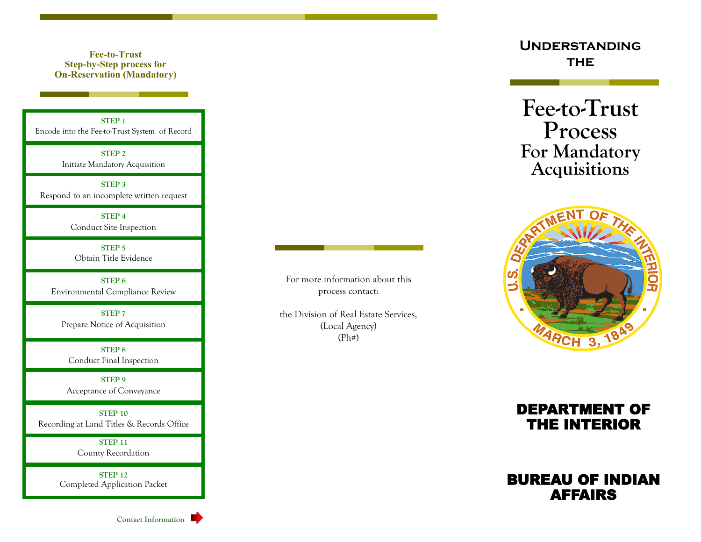## **Fee-to-Trust Step-by-Step process for On-Reservation (Mandatory)**

**STEP 1** Encode into the Fee-to-Trust System of Record

> **STEP 2** Initiate Mandatory Acquisition

**STEP 3** Respond to an incomplete written request

> **STEP 4** Conduct Site Inspection

**STEP 5** Obtain Title Evidence

**STEP 6** Environmental Compliance Review

**STEP 7** Prepare Notice of Acquisition

**STEP 8** Conduct Final Inspection

**STEP 9** Acceptance of Conveyance

**STEP 10** Recording at Land Titles & Records Office

> **STEP 11** County Recordation

**STEP 12** Completed Application Packet



For more information about this process contact:

the Division of Real Estate Services, (Local Agency) (Ph#)

## **Understanding THE**

**Fee-to-Trust Process For Mandatory Acquisitions**



## DEPARTMENT OF THE INTERIOR